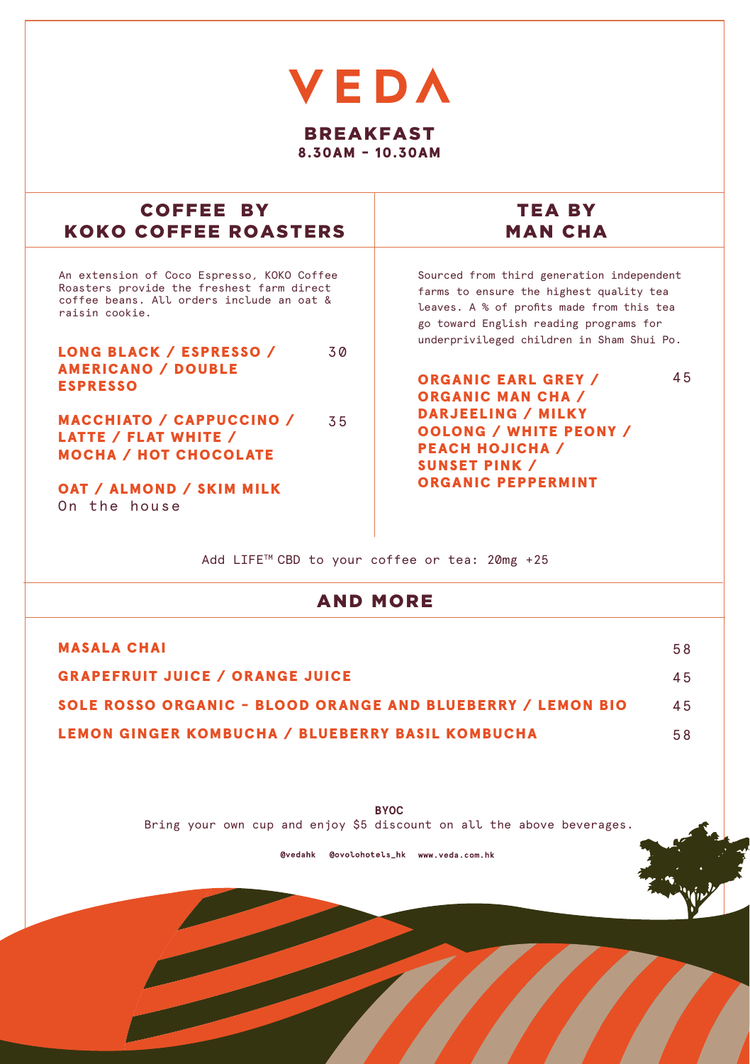## **VEDA** BREAKFAST 8.30AM - 10.30AM

| COFFEE BY                                  | TEA BY                                    |
|--------------------------------------------|-------------------------------------------|
| <b>KOKO COFFEE ROASTERS</b>                | <b>MAN CHA</b>                            |
| An extension of Coco Espresso, KOKO Coffee | Sourced from third generation independent |
| Roasters provide the freshest farm direct  | farms to ensure the highest quality tea   |
| coffee beans. All orders include an oat &  | leaves. A % of profits made from this tea |
| raisin cookie.                             | go toward English reading programs for    |
| <b>LONG BLACK / ESPRESSO /</b>             | underprivileged children in Sham Shui Po. |
| 30                                         | 45                                        |
| <b>AMERICANO / DOUBLE</b>                  | <b>ORGANIC EARL GREY /</b>                |
| <b>ESPRESSO</b>                            | <b>ORGANIC MAN CHA /</b>                  |
| <b>MACCHIATO / CAPPUCCINO /</b>            | DARJEELING / MILKY                        |
| 35                                         | <b>OOLONG / WHITE PEONY /</b>             |
| LATTE / FLAT WHITE /                       | <b>PEACH HOJICHA</b> /                    |
| <b>MOCHA / HOT CHOCOLATE</b>               | <b>SUNSET PINK /</b>                      |
| OAT / ALMOND / SKIM MILK<br>On the house   | <b>ORGANIC PEPPERMINT</b>                 |

Add LIFE<sup>™</sup> CBD to your coffee or tea: 20mg +25

## AND MORE

| <b>MASALA CHAI</b>                                                 | 58  |
|--------------------------------------------------------------------|-----|
| <b>GRAPEFRUIT JUICE / ORANGE JUICE</b>                             | 45  |
| <b>SOLE ROSSO ORGANIC - BLOOD ORANGE AND BLUEBERRY / LEMON BIO</b> | 4.5 |
| <b>LEMON GINGER KOMBUCHA / BLUEBERRY BASIL KOMBUCHA</b>            | 58  |

**BYOC** Bring your own cup and enjoy \$5 discount on all the above beverages.

@vedahk @ovolohotels\_hk www.veda.com.hk